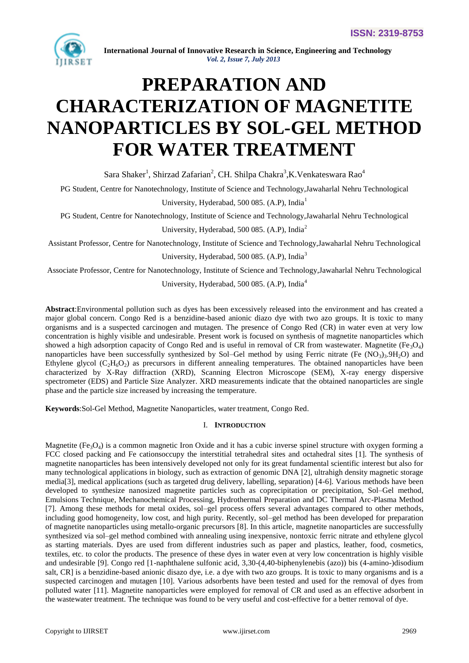

# **PREPARATION AND CHARACTERIZATION OF MAGNETITE NANOPARTICLES BY SOL-GEL METHOD FOR WATER TREATMENT**

Sara Shaker<sup>1</sup>, Shirzad Zafarian<sup>2</sup>, CH. Shilpa Chakra<sup>3</sup>,K.Venkateswara Rao<sup>4</sup>

PG Student, Centre for Nanotechnology, Institute of Science and Technology,Jawaharlal Nehru Technological University, Hyderabad, 500 085. (A.P), India<sup>1</sup>

PG Student, Centre for Nanotechnology, Institute of Science and Technology,Jawaharlal Nehru Technological

University, Hyderabad, 500 085. (A.P), India<sup>2</sup>

Assistant Professor, Centre for Nanotechnology, Institute of Science and Technology,Jawaharlal Nehru Technological University, Hyderabad, 500 085. (A.P), India<sup>3</sup>

Associate Professor, Centre for Nanotechnology, Institute of Science and Technology,Jawaharlal Nehru Technological

University, Hyderabad, 500 085. (A.P), India<sup>4</sup>

**Abstract**:Environmental pollution such as dyes has been excessively released into the environment and has created a major global concern. Congo Red is a benzidine-based anionic diazo dye with two azo groups. It is toxic to many organisms and is a suspected carcinogen and mutagen. The presence of Congo Red (CR) in water even at very low concentration is highly visible and undesirable. Present work is focused on synthesis of magnetite nanoparticles which showed a high adsorption capacity of Congo Red and is useful in removal of CR from wastewater. Magnetite (Fe<sub>3</sub>O<sub>4</sub>) nanoparticles have been successfully synthesized by Sol–Gel method by using Ferric nitrate (Fe  $(NO_3)_3.9H_2O$ ) and Ethylene glycol  $(C_2H_6O_2)$  as precursors in different annealing temperatures. The obtained nanoparticles have been characterized by X-Ray diffraction (XRD), Scanning Electron Microscope (SEM), X-ray energy dispersive spectrometer (EDS) and Particle Size Analyzer. XRD measurements indicate that the obtained nanoparticles are single phase and the particle size increased by increasing the temperature.

**Keywords**:Sol-Gel Method, Magnetite Nanoparticles, water treatment, Congo Red.

# I. **INTRODUCTION**

Magnetite (Fe<sub>3</sub>O<sub>4</sub>) is a common magnetic Iron Oxide and it has a cubic inverse spinel structure with oxygen forming a FCC closed packing and Fe cationsoccupy the interstitial tetrahedral sites and octahedral sites [1]. The synthesis of magnetite nanoparticles has been intensively developed not only for its great fundamental scientific interest but also for many technological applications in biology, such as extraction of genomic DNA [2], ultrahigh density magnetic storage media[3], medical applications (such as targeted drug delivery, labelling, separation) [4-6]. Various methods have been developed to synthesize nanosized magnetite particles such as coprecipitation or precipitation, Sol–Gel method, Emulsions Technique, Mechanochemical Processing, Hydrothermal Preparation and DC Thermal Arc-Plasma Method [7]. Among these methods for metal oxides, sol–gel process offers several advantages compared to other methods, including good homogeneity, low cost, and high purity. Recently, sol–gel method has been developed for preparation of magnetite nanoparticles using metallo-organic precursors [8]. In this article, magnetite nanoparticles are successfully synthesized via sol–gel method combined with annealing using inexpensive, nontoxic ferric nitrate and ethylene glycol as starting materials. Dyes are used from different industries such as paper and plastics, leather, food, cosmetics, textiles, etc. to color the products. The presence of these dyes in water even at very low concentration is highly visible and undesirable [9]. Congo red [1-naphthalene sulfonic acid, 3,30-(4,40-biphenylenebis (azo)) bis (4-amino-)disodium salt, CR] is a benzidine-based anionic disazo dye, i.e. a dye with two azo groups. It is toxic to many organisms and is a suspected carcinogen and mutagen [10]. Various adsorbents have been tested and used for the removal of dyes from polluted water [11]. Magnetite nanoparticles were employed for removal of CR and used as an effective adsorbent in the wastewater treatment. The technique was found to be very useful and cost-effective for a better removal of dye.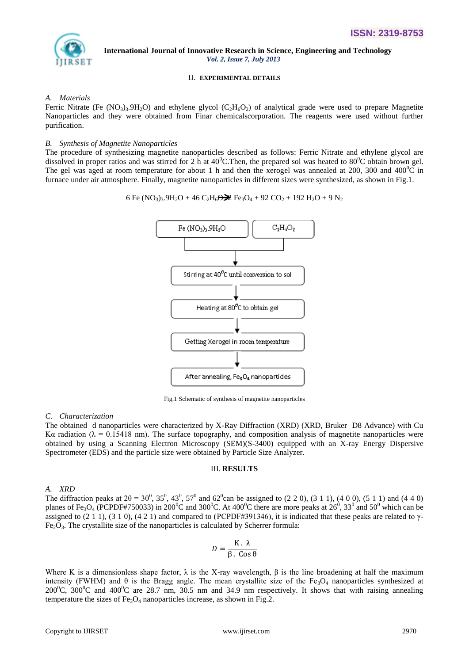

# II. **EXPERIMENTAL DETAILS**

# *A. Materials*

Ferric Nitrate (Fe  $(NO_3)_3.9H_2O$ ) and ethylene glycol  $(C_2H_6O_2)$  of analytical grade were used to prepare Magnetite Nanoparticles and they were obtained from Finar chemicalscorporation. The reagents were used without further purification.

# *B. Synthesis of Magnetite Nanoparticles*

The procedure of synthesizing magnetite nanoparticles described as follows: Ferric Nitrate and ethylene glycol are dissolved in proper ratios and was stirred for 2 h at 40<sup>o</sup>C. Then, the prepared sol was heated to 80<sup>o</sup>C obtain brown gel. The gel was aged at room temperature for about 1 h and then the xerogel was annealed at 200, 300 and 400<sup>o</sup>C in furnace under air atmosphere. Finally, magnetite nanoparticles in different sizes were synthesized, as shown in Fig.1.

6 Fe (NO<sub>3</sub>)<sub>3</sub>.9H<sub>2</sub>O + 46 C<sub>2</sub>H<sub>6</sub>
$$
\bigodot \bigodot
$$
 Fe<sub>3</sub>O<sub>4</sub> + 92 CO<sub>2</sub> + 192 H<sub>2</sub>O + 9 N<sub>2</sub>



Fig.1 Schematic of synthesis of magnetite nanoparticles

# *C. Characterization*

The obtained d nanoparticles were characterized by X-Ray Diffraction (XRD) (XRD, Bruker D8 Advance) with Cu Kα radiation ( $\lambda = 0.15418$  nm). The surface topography, and composition analysis of magnetite nanoparticles were obtained by using a Scanning Electron Microscopy (SEM)(S-3400) equipped with an X-ray Energy Dispersive Spectrometer (EDS) and the particle size were obtained by Particle Size Analyzer.

## III. **RESULTS**

# *A. XRD*

The diffraction peaks at  $2\theta = 30^0$ ,  $35^0$ ,  $43^0$ ,  $57^0$  and  $62^0$ can be assigned to (2 2 0), (3 1 1), (4 0 0), (5 1 1) and (4 4 0) planes of Fe<sub>3</sub>O<sub>4</sub> (PCPDF#750033) in 200<sup>0</sup>C and 300<sup>0</sup>C. At 400<sup>0</sup>C there are more peaks at 26<sup>0</sup>, 33<sup>0</sup> and 50<sup>0</sup> which can be assigned to (2 1 1), (3 1 0), (4 2 1) and compared to (PCPDF#391346), it is indicated that these peaks are related to  $\gamma$ - $Fe<sub>2</sub>O<sub>3</sub>$ . The crystallite size of the nanoparticles is calculated by Scherrer formula:

$$
D = \frac{K \cdot \lambda}{\beta \cdot \cos \theta}
$$

Where K is a dimensionless shape factor,  $\lambda$  is the X-ray wavelength,  $\beta$  is the line broadening at half the maximum intensity (FWHM) and  $\theta$  is the Bragg angle. The mean crystallite size of the Fe<sub>3</sub>O<sub>4</sub> nanoparticles synthesized at 200<sup>o</sup>C, 300<sup>o</sup>C and 400<sup>o</sup>C are 28.7 nm, 30.5 nm and 34.9 nm respectively. It shows that with raising annealing temperature the sizes of  $Fe<sub>3</sub>O<sub>4</sub>$  nanoparticles increase, as shown in Fig.2.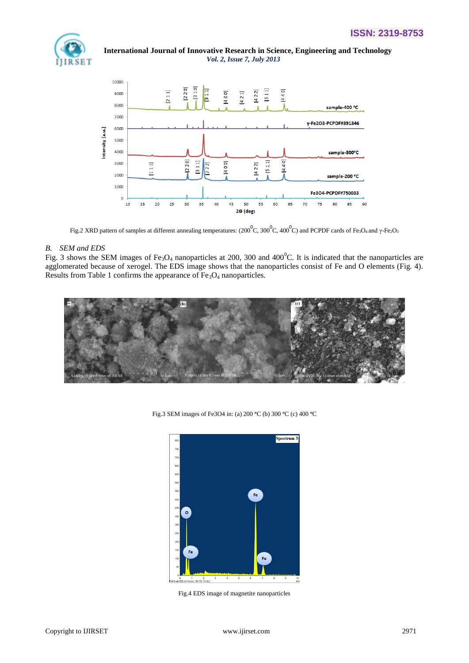



Fig.2 XRD pattern of samples at different annealing temperatures: (200  $^0C$ , 300  $^0C$ , 400  $^0C$ ) and PCPDF cards of Fe3O4 and y-Fe2O3

## *B. SEM and EDS*

Fig. 3 shows the SEM images of Fe<sub>3</sub>O<sub>4</sub> nanoparticles at 200, 300 and 400<sup>o</sup>C. It is indicated that the nanoparticles are agglomerated because of xerogel. The EDS image shows that the nanoparticles consist of Fe and O elements (Fig. 4). Results from Table 1 confirms the appearance of  $Fe<sub>3</sub>O<sub>4</sub>$  nanoparticles.



Fig.3 SEM images of Fe3O4 in: (a) 200 °C (b) 300 °C (c) 400 °C



Fig.4 EDS image of magnetite nanoparticles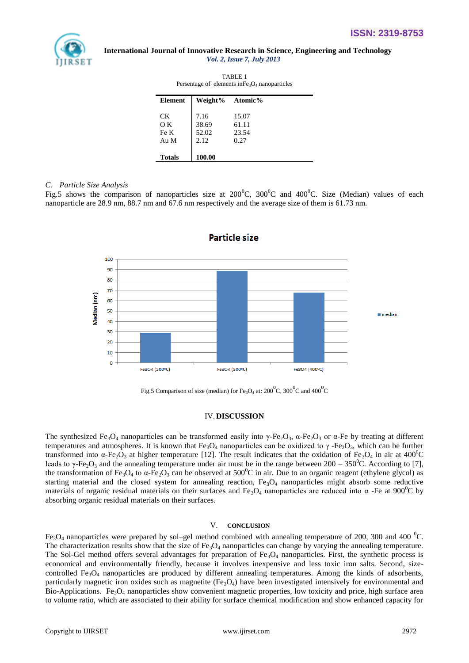

| TABLE <sub>1</sub><br>Persentage of elements in $Fe3O4$ nanoparticles |                 |       |
|-----------------------------------------------------------------------|-----------------|-------|
| <b>Element</b>                                                        | Weight% Atomic% |       |
| CK.                                                                   | 7.16            | 15.07 |
| O K                                                                   | 38.69           | 61.11 |
| Fe K                                                                  | 52.02           | 23.54 |
| Au M                                                                  | 2.12            | 0.27  |
| <b>Totals</b>                                                         | 100.00          |       |

## *C. Particle Size Analysis*

Fig.5 shows the comparison of nanoparticles size at  $200^{\circ}$ C,  $300^{\circ}$ C and  $400^{\circ}$ C. Size (Median) values of each nanoparticle are 28.9 nm, 88.7 nm and 67.6 nm respectively and the average size of them is 61.73 nm.



Particle size

Fig.5 Comparison of size (median) for Fe<sub>3</sub>O<sub>4</sub> at: 200<sup>°</sup>C, 300<sup>°</sup>C and 400<sup>°</sup>C

# IV.**DISCUSSION**

The synthesized Fe<sub>3</sub>O<sub>4</sub> nanoparticles can be transformed easily into  $\gamma$ -Fe<sub>2</sub>O<sub>3</sub>,  $\alpha$ -Fe<sub>2</sub>O<sub>3</sub> or  $\alpha$ -Fe by treating at different temperatures and atmospheres. It is known that  $Fe_3O_4$  nanoparticles can be oxidized to  $\gamma$ -Fe<sub>2</sub>O<sub>3</sub>, which can be further transformed into α-Fe<sub>2</sub>O<sub>3</sub> at higher temperature [12]. The result indicates that the oxidation of Fe<sub>3</sub>O<sub>4</sub> in air at 400<sup>o</sup>C leads to γ-Fe<sub>2</sub>O<sub>3</sub> and the annealing temperature under air must be in the range between 200 – 350<sup>0</sup>C. According to [7], the transformation of Fe<sub>3</sub>O<sub>4</sub> to  $\alpha$ -Fe<sub>2</sub>O<sub>3</sub> can be observed at 500<sup>o</sup>C in air. Due to an organic reagent (ethylene glycol) as starting material and the closed system for annealing reaction,  $Fe<sub>3</sub>O<sub>4</sub>$  nanoparticles might absorb some reductive materials of organic residual materials on their surfaces and Fe<sub>3</sub>O<sub>4</sub> nanoparticles are reduced into  $\alpha$ -Fe at 900<sup>o</sup>C by absorbing organic residual materials on their surfaces.

## V. **CONCLUSION**

Fe<sub>3</sub>O<sub>4</sub> nanoparticles were prepared by sol–gel method combined with annealing temperature of 200, 300 and 400 <sup>o</sup>C. The characterization results show that the size of  $Fe<sub>3</sub>O<sub>4</sub>$  nanoparticles can change by varying the annealing temperature. The Sol-Gel method offers several advantages for preparation of  $Fe<sub>3</sub>O<sub>4</sub>$  nanoparticles. First, the synthetic process is economical and environmentally friendly, because it involves inexpensive and less toxic iron salts. Second, sizecontrolled  $Fe<sub>3</sub>O<sub>4</sub>$  nanoparticles are produced by different annealing temperatures. Among the kinds of adsorbents, particularly magnetic iron oxides such as magnetite  $(Fe_3O_4)$  have been investigated intensively for environmental and Bio-Applications. Fe<sub>3</sub>O<sub>4</sub> nanoparticles show convenient magnetic properties, low toxicity and price, high surface area to volume ratio, which are associated to their ability for surface chemical modification and show enhanced capacity for